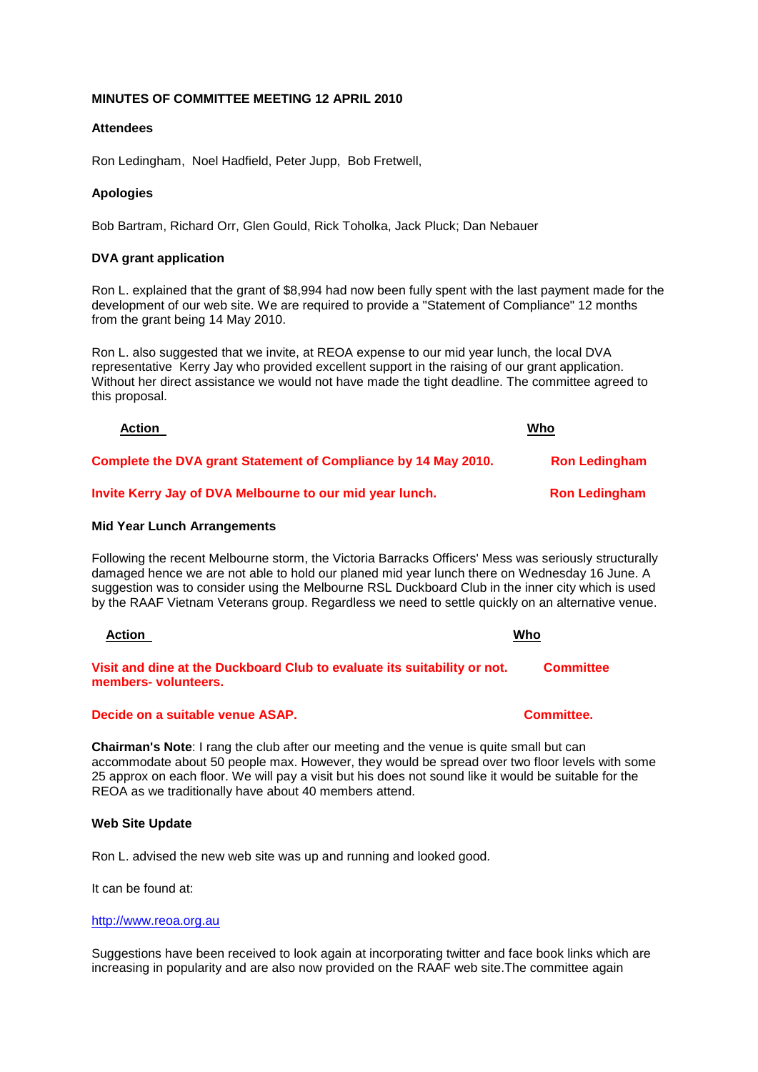# **MINUTES OF COMMITTEE MEETING 12 APRIL 2010**

# **Attendees**

Ron Ledingham, Noel Hadfield, Peter Jupp, Bob Fretwell,

# **Apologies**

Bob Bartram, Richard Orr, Glen Gould, Rick Toholka, Jack Pluck; Dan Nebauer

# **DVA grant application**

Ron L. explained that the grant of \$8,994 had now been fully spent with the last payment made for the development of our web site. We are required to provide a "Statement of Compliance" 12 months from the grant being 14 May 2010.

Ron L. also suggested that we invite, at REOA expense to our mid year lunch, the local DVA representative Kerry Jay who provided excellent support in the raising of our grant application. Without her direct assistance we would not have made the tight deadline. The committee agreed to this proposal.

| <b>Action</b>                                                  | Who                  |
|----------------------------------------------------------------|----------------------|
| Complete the DVA grant Statement of Compliance by 14 May 2010. | <b>Ron Ledingham</b> |
| Invite Kerry Jay of DVA Melbourne to our mid year lunch.       | <b>Ron Ledingham</b> |

#### **Mid Year Lunch Arrangements**

Following the recent Melbourne storm, the Victoria Barracks Officers' Mess was seriously structurally damaged hence we are not able to hold our planed mid year lunch there on Wednesday 16 June. A suggestion was to consider using the Melbourne RSL Duckboard Club in the inner city which is used by the RAAF Vietnam Veterans group. Regardless we need to settle quickly on an alternative venue.

| Action                                                                                           | Who              |
|--------------------------------------------------------------------------------------------------|------------------|
| Visit and dine at the Duckboard Club to evaluate its suitability or not.<br>members- volunteers. | <b>Committee</b> |

# **Decide on a suitable venue ASAP. Committee.**

**Chairman's Note**: I rang the club after our meeting and the venue is quite small but can accommodate about 50 people max. However, they would be spread over two floor levels with some 25 approx on each floor. We will pay a visit but his does not sound like it would be suitable for the REOA as we traditionally have about 40 members attend.

#### **Web Site Update**

Ron L. advised the new web site was up and running and looked good.

It can be found at:

#### [http://www.reoa.org.au](http://www.reoa.org.au/)

Suggestions have been received to look again at incorporating twitter and face book links which are increasing in popularity and are also now provided on the RAAF web site.The committee again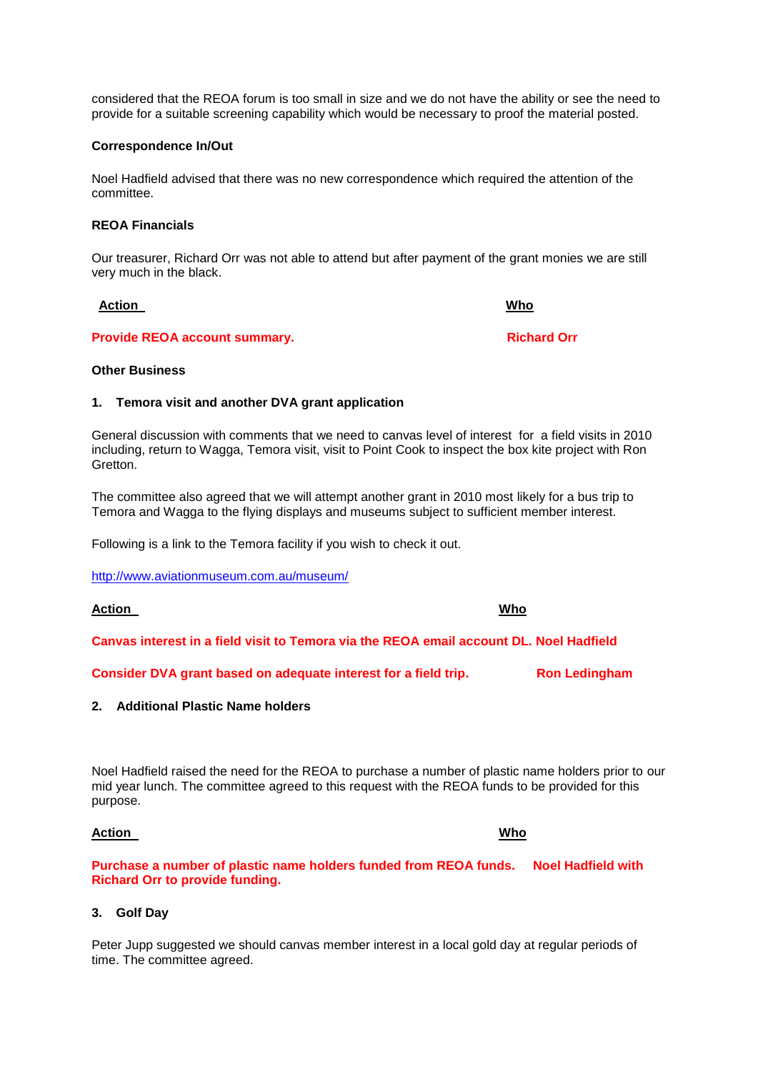considered that the REOA forum is too small in size and we do not have the ability or see the need to provide for a suitable screening capability which would be necessary to proof the material posted.

# **Correspondence In/Out**

Noel Hadfield advised that there was no new correspondence which required the attention of the committee.

# **REOA Financials**

Our treasurer, Richard Orr was not able to attend but after payment of the grant monies we are still very much in the black.

**Provide REOA account summary.** The contract of the Richard Orr **Richard Orr** 

**Other Business**

#### **1. Temora visit and another DVA grant application**

General discussion with comments that we need to canvas level of interest for a field visits in 2010 including, return to Wagga, Temora visit, visit to Point Cook to inspect the box kite project with Ron Gretton.

The committee also agreed that we will attempt another grant in 2010 most likely for a bus trip to Temora and Wagga to the flying displays and museums subject to sufficient member interest.

Following is a link to the Temora facility if you wish to check it out.

<http://www.aviationmuseum.com.au/museum/>

# **Action Who**

**Canvas interest in a field visit to Temora via the REOA email account DL. Noel Hadfield**

**Consider DVA grant based on adequate interest for a field trip. Ron Ledingham** 

# **2. Additional Plastic Name holders**

Noel Hadfield raised the need for the REOA to purchase a number of plastic name holders prior to our mid year lunch. The committee agreed to this request with the REOA funds to be provided for this purpose.

#### **Action Who**

**Purchase a number of plastic name holders funded from REOA funds. Noel Hadfield with Richard Orr to provide funding.**

# **3. Golf Day**

Peter Jupp suggested we should canvas member interest in a local gold day at regular periods of time. The committee agreed.

**Action Who**